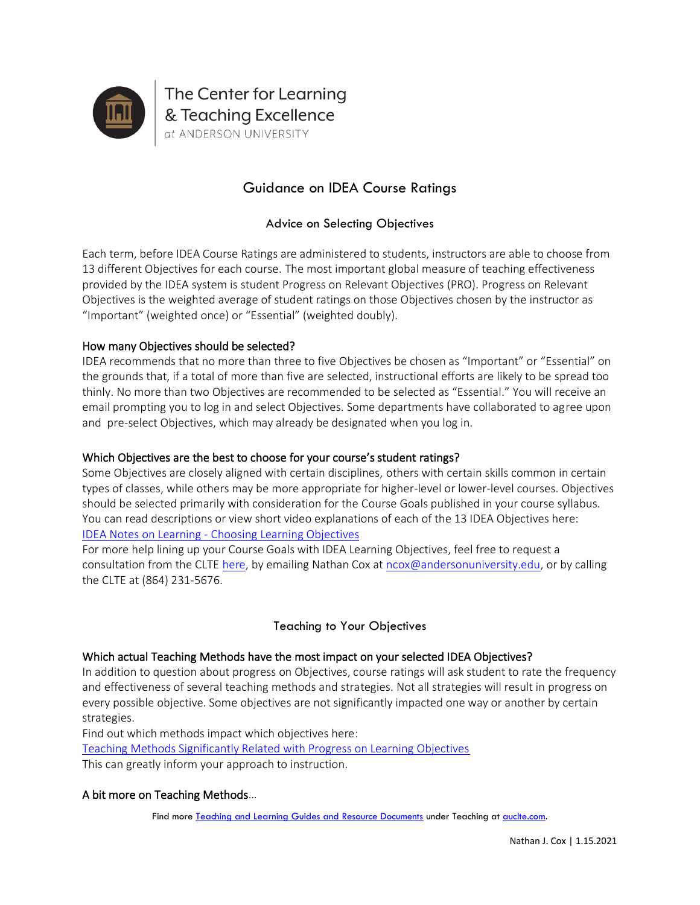

# Guidance on IDEA Course Ratings

# Advice on Selecting Objectives

Each term, before IDEA Course Ratings are administered to students, instructors are able to choose from 13 different Objectives for each course. The most important global measure of teaching effectiveness provided by the IDEA system is student Progress on Relevant Objectives (PRO). Progress on Relevant Objectives is the weighted average of student ratings on those Objectives chosen by the instructor as "Important" (weighted once) or "Essential" (weighted doubly).

# How many Objectives should be selected?

IDEA recommends that no more than three to five Objectives be chosen as "Important" or "Essential" on the grounds that, if a total of more than five are selected, instructional efforts are likely to be spread too thinly. No more than two Objectives are recommended to be selected as "Essential." You will receive an email prompting you to log in and select Objectives. Some departments have collaborated to agree upon and pre-select Objectives, which may already be designated when you log in.

# Which Objectives are the best to choose for your course's student ratings?

Some Objectives are closely aligned with certain disciplines, others with certain skills common in certain types of classes, while others may be more appropriate for higher-level or lower-level courses. Objectives should be selected primarily with consideration for the Course Goals published in your course syllabus. You can read descriptions or view short video explanations of each of the 13 IDEA Objectives here: IDEA Notes on Learning - [Choosing Learning Objectives](https://www.ideaedu.org/idea-notes-on-learning/)

For more help lining up your Course Goals with IDEA Learning Objectives, feel free to request a consultation from the CLTE [here,](https://www.auclte.com/idea-course-rating-interpretation) by emailing Nathan Cox a[t ncox@andersonuniversity.edu,](mailto:ncox@andersonuniversity.edu) or by calling the CLTE at (864) 231-5676.

# Teaching to Your Objectives

# Which actual Teaching Methods have the most impact on your selected IDEA Objectives?

In addition to question about progress on Objectives, course ratings will ask student to rate the frequency and effectiveness of several teaching methods and strategies. Not all strategies will result in progress on every possible objective. Some objectives are not significantly impacted one way or another by certain strategies.

Find out which methods impact which objectives here:

[Teaching Methods Significantly Related with Progress on Learning Objectives](https://ideacontent.blob.core.windows.net/content/sites/2/2020/02/Teaching_Methods_and_Learning_Objectives.pdf) This can greatly inform your approach to instruction.

#### A bit more on Teaching Methods…

Find more [Teaching and Learning Guides and Resource Documents](https://www.auclte.com/guides-and-resources) under Teaching a[t auclte.com.](https://www.auclte.com/)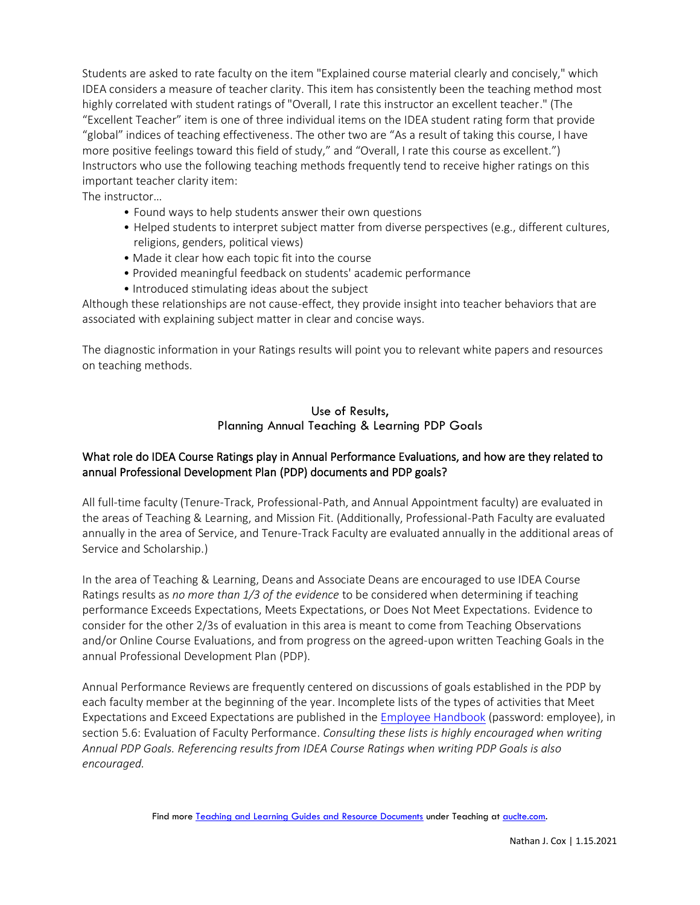Students are asked to rate faculty on the item "Explained course material clearly and concisely," which IDEA considers a measure of teacher clarity. This item has consistently been the teaching method most highly correlated with student ratings of "Overall, I rate this instructor an excellent teacher." (The "Excellent Teacher" item is one of three individual items on the IDEA student rating form that provide "global" indices of teaching effectiveness. The other two are "As a result of taking this course, I have more positive feelings toward this field of study," and "Overall, I rate this course as excellent.") Instructors who use the following teaching methods frequently tend to receive higher ratings on this important teacher clarity item:

The instructor…

- Found ways to help students answer their own questions
- Helped students to interpret subject matter from diverse perspectives (e.g., different cultures, religions, genders, political views)
- Made it clear how each topic fit into the course
- Provided meaningful feedback on students' academic performance
- Introduced stimulating ideas about the subject

Although these relationships are not cause-effect, they provide insight into teacher behaviors that are associated with explaining subject matter in clear and concise ways.

The diagnostic information in your Ratings results will point you to relevant white papers and resources on teaching methods.

#### Use of Results, Planning Annual Teaching & Learning PDP Goals

# What role do IDEA Course Ratings play in Annual Performance Evaluations, and how are they related to annual Professional Development Plan (PDP) documents and PDP goals?

All full-time faculty (Tenure-Track, Professional-Path, and Annual Appointment faculty) are evaluated in the areas of Teaching & Learning, and Mission Fit. (Additionally, Professional-Path Faculty are evaluated annually in the area of Service, and Tenure-Track Faculty are evaluated annually in the additional areas of Service and Scholarship.)

In the area of Teaching & Learning, Deans and Associate Deans are encouraged to use IDEA Course Ratings results as *no more than 1/3 of the evidence* to be considered when determining if teaching performance Exceeds Expectations, Meets Expectations, or Does Not Meet Expectations. Evidence to consider for the other 2/3s of evaluation in this area is meant to come from Teaching Observations and/or Online Course Evaluations, and from progress on the agreed-upon written Teaching Goals in the annual Professional Development Plan (PDP).

Annual Performance Reviews are frequently centered on discussions of goals established in the PDP by each faculty member at the beginning of the year. Incomplete lists of the types of activities that Meet Expectations and Exceed Expectations are published in the [Employee Handbook](https://andersonuniversity.edu/resources/hr/handbook) (password: employee), in section 5.6: Evaluation of Faculty Performance. *Consulting these lists is highly encouraged when writing Annual PDP Goals. Referencing results from IDEA Course Ratings when writing PDP Goals is also encouraged.*